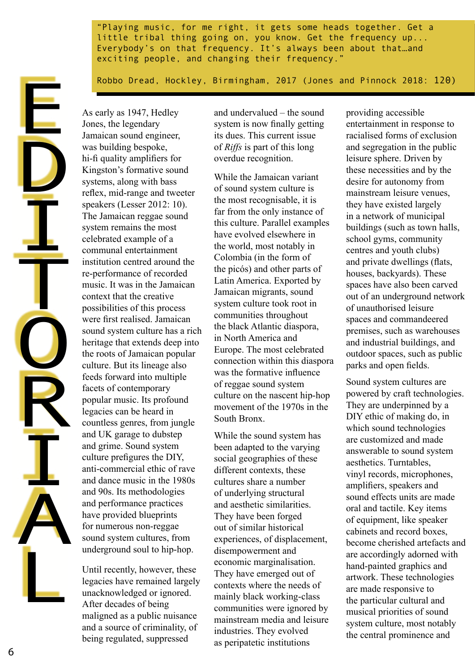"Playing music, for me right, it gets some heads together. Get a little tribal thing going on, you know. Get the frequency up... Everybody's on that frequency. It's always been about that…and exciting people, and changing their frequency."

Robbo Dread, Hockley, Birmingham, 2017 (Jones and Pinnock 2018: 120)

As early as 1947, Hedley Jones, the legendary Jamaican sound engineer, was building bespoke, hi-fi quality amplifiers for Kingston's formative sound systems, along with bass reflex, mid-range and tweeter speakers (Lesser 2012: 10). The Jamaican reggae sound system remains the most celebrated example of a communal entertainment institution centred around the re-performance of recorded music. It was in the Jamaican context that the creative possibilities of this process were first realised. Jamaican sound system culture has a rich heritage that extends deep into the roots of Jamaican popular culture. But its lineage also feeds forward into multiple facets of contemporary popular music. Its profound legacies can be heard in countless genres, from jungle and UK garage to dubstep and grime. Sound system culture prefigures the DIY, anti-commercial ethic of rave and dance music in the 1980s and 90s. Its methodologies and performance practices have provided blueprints for numerous non-reggae sound system cultures, from underground soul to hip-hop.

Until recently, however, these legacies have remained largely unacknowledged or ignored. After decades of being maligned as a public nuisance and a source of criminality, of being regulated, suppressed

and undervalued – the sound system is now finally getting its dues. This current issue of *Riffs* is part of this long overdue recognition.

While the Jamaican variant of sound system culture is the most recognisable, it is far from the only instance of this culture. Parallel examples have evolved elsewhere in the world, most notably in Colombia (in the form of the picós) and other parts of Latin America. Exported by Jamaican migrants, sound system culture took root in communities throughout the black Atlantic diaspora, in North America and Europe. The most celebrated connection within this diaspora was the formative influence of reggae sound system culture on the nascent hip-hop movement of the 1970s in the South Bronx.

While the sound system has been adapted to the varying social geographies of these different contexts, these cultures share a number of underlying structural and aesthetic similarities. They have been forged out of similar historical experiences, of displacement, disempowerment and economic marginalisation. They have emerged out of contexts where the needs of mainly black working-class communities were ignored by mainstream media and leisure industries. They evolved as peripatetic institutions

providing accessible entertainment in response to racialised forms of exclusion and segregation in the public leisure sphere. Driven by these necessities and by the desire for autonomy from mainstream leisure venues, they have existed largely in a network of municipal buildings (such as town halls, school gyms, community centres and youth clubs) and private dwellings (flats, houses, backyards). These spaces have also been carved out of an underground network of unauthorised leisure spaces and commandeered premises, such as warehouses and industrial buildings, and outdoor spaces, such as public parks and open fields.

Sound system cultures are powered by craft technologies. They are underpinned by a DIY ethic of making do, in which sound technologies are customized and made answerable to sound system aesthetics. Turntables, vinyl records, microphones, amplifiers, speakers and sound effects units are made oral and tactile. Key items of equipment, like speaker cabinets and record boxes, become cherished artefacts and are accordingly adorned with hand-painted graphics and artwork. These technologies are made responsive to the particular cultural and musical priorities of sound system culture, most notably the central prominence and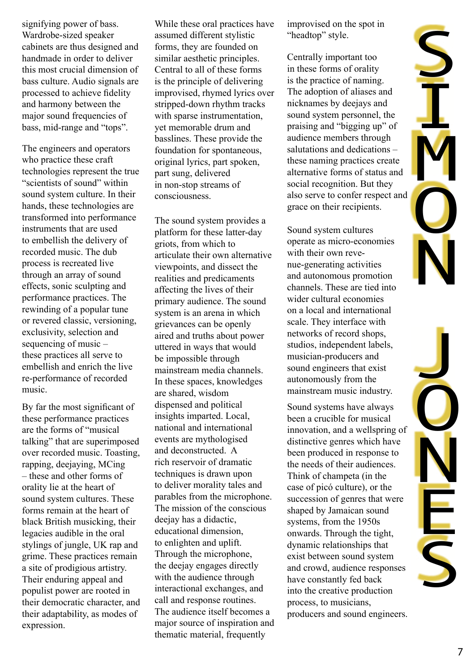signifying power of bass. Wardrobe-sized speaker cabinets are thus designed and handmade in order to deliver this most crucial dimension of bass culture. Audio signals are processed to achieve fidelity and harmony between the major sound frequencies of bass, mid-range and "tops".

The engineers and operators who practice these craft technologies represent the true "scientists of sound" within sound system culture. In their hands, these technologies are transformed into performance instruments that are used to embellish the delivery of recorded music. The dub process is recreated live through an array of sound effects, sonic sculpting and performance practices. The rewinding of a popular tune or revered classic, versioning, exclusivity, selection and sequencing of music – these practices all serve to embellish and enrich the live re-performance of recorded music.

By far the most significant of these performance practices are the forms of "musical talking" that are superimposed over recorded music. Toasting, rapping, deejaying, MCing – these and other forms of orality lie at the heart of sound system cultures. These forms remain at the heart of black British musicking, their legacies audible in the oral stylings of jungle, UK rap and grime. These practices remain a site of prodigious artistry. Their enduring appeal and populist power are rooted in their democratic character, and their adaptability, as modes of expression.

While these oral practices have assumed different stylistic forms, they are founded on similar aesthetic principles. Central to all of these forms is the principle of delivering improvised, rhymed lyrics over stripped-down rhythm tracks with sparse instrumentation, yet memorable drum and basslines. These provide the foundation for spontaneous, original lyrics, part spoken, part sung, delivered in non-stop streams of consciousness.

The sound system provides a platform for these latter-day griots, from which to articulate their own alternative viewpoints, and dissect the realities and predicaments affecting the lives of their primary audience. The sound system is an arena in which grievances can be openly aired and truths about power uttered in ways that would be impossible through mainstream media channels. In these spaces, knowledges are shared, wisdom dispensed and political insights imparted. Local, national and international events are mythologised and deconstructed. A rich reservoir of dramatic techniques is drawn upon to deliver morality tales and parables from the microphone. The mission of the conscious deejay has a didactic, educational dimension, to enlighten and uplift. Through the microphone, the deejay engages directly with the audience through interactional exchanges, and call and response routines. The audience itself becomes a major source of inspiration and thematic material, frequently

improvised on the spot in "headtop" style.

S

**I** 

**M** 

**O** 

N

J

O

N

E

Centrally important too in these forms of orality is the practice of naming. The adoption of aliases and nicknames by deejays and sound system personnel, the praising and "bigging up" of audience members through salutations and dedications – these naming practices create alternative forms of status and social recognition. But they also serve to confer respect and grace on their recipients.

Sound system cultures operate as micro-economies with their own revenue-generating activities and autonomous promotion channels. These are tied into wider cultural economies on a local and international scale. They interface with networks of record shops, studios, independent labels, musician-producers and sound engineers that exist autonomously from the mainstream music industry.

Sound systems have always been a crucible for musical innovation, and a wellspring of distinctive genres which have been produced in response to the needs of their audiences. Think of champeta (in the case of picó culture), or the succession of genres that were shaped by Jamaican sound systems, from the 1950s onwards. Through the tight, dynamic relationships that exist between sound system and crowd, audience responses have constantly fed back into the creative production process, to musicians, producers and sound engineers.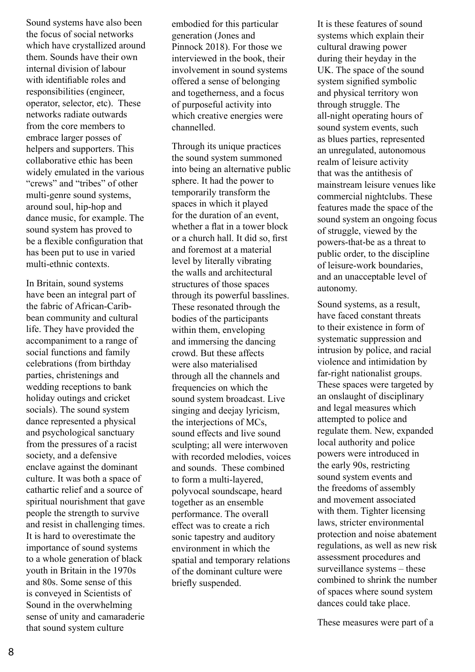Sound systems have also been the focus of social networks which have crystallized around them. Sounds have their own internal division of labour with identifiable roles and responsibilities (engineer, operator, selector, etc). These networks radiate outwards from the core members to embrace larger posses of helpers and supporters. This collaborative ethic has been widely emulated in the various "crews" and "tribes" of other multi-genre sound systems, around soul, hip-hop and dance music, for example. The sound system has proved to be a flexible configuration that has been put to use in varied multi-ethnic contexts.

In Britain, sound systems have been an integral part of the fabric of African-Caribbean community and cultural life. They have provided the accompaniment to a range of social functions and family celebrations (from birthday parties, christenings and wedding receptions to bank holiday outings and cricket socials). The sound system dance represented a physical and psychological sanctuary from the pressures of a racist society, and a defensive enclave against the dominant culture. It was both a space of cathartic relief and a source of spiritual nourishment that gave people the strength to survive and resist in challenging times. It is hard to overestimate the importance of sound systems to a whole generation of black youth in Britain in the 1970s and 80s. Some sense of this is conveyed in Scientists of Sound in the overwhelming sense of unity and camaraderie that sound system culture

embodied for this particular generation (Jones and Pinnock 2018). For those we interviewed in the book, their involvement in sound systems offered a sense of belonging and togetherness, and a focus of purposeful activity into which creative energies were channelled.

Through its unique practices the sound system summoned into being an alternative public sphere. It had the power to temporarily transform the spaces in which it played for the duration of an event, whether a flat in a tower block or a church hall. It did so, first and foremost at a material level by literally vibrating the walls and architectural structures of those spaces through its powerful basslines. These resonated through the bodies of the participants within them, enveloping and immersing the dancing crowd. But these affects were also materialised through all the channels and frequencies on which the sound system broadcast. Live singing and deejay lyricism, the interjections of MCs, sound effects and live sound sculpting; all were interwoven with recorded melodies, voices and sounds. These combined to form a multi-layered, polyvocal soundscape, heard together as an ensemble performance. The overall effect was to create a rich sonic tapestry and auditory environment in which the spatial and temporary relations of the dominant culture were briefly suspended.

It is these features of sound systems which explain their cultural drawing power during their heyday in the UK. The space of the sound system signified symbolic and physical territory won through struggle. The all-night operating hours of sound system events, such as blues parties, represented an unregulated, autonomous realm of leisure activity that was the antithesis of mainstream leisure venues like commercial nightclubs. These features made the space of the sound system an ongoing focus of struggle, viewed by the powers-that-be as a threat to public order, to the discipline of leisure-work boundaries, and an unacceptable level of autonomy.

Sound systems, as a result, have faced constant threats to their existence in form of systematic suppression and intrusion by police, and racial violence and intimidation by far-right nationalist groups. These spaces were targeted by an onslaught of disciplinary and legal measures which attempted to police and regulate them. New, expanded local authority and police powers were introduced in the early 90s, restricting sound system events and the freedoms of assembly and movement associated with them. Tighter licensing laws, stricter environmental protection and noise abatement regulations, as well as new risk assessment procedures and surveillance systems – these combined to shrink the number of spaces where sound system dances could take place.

These measures were part of a